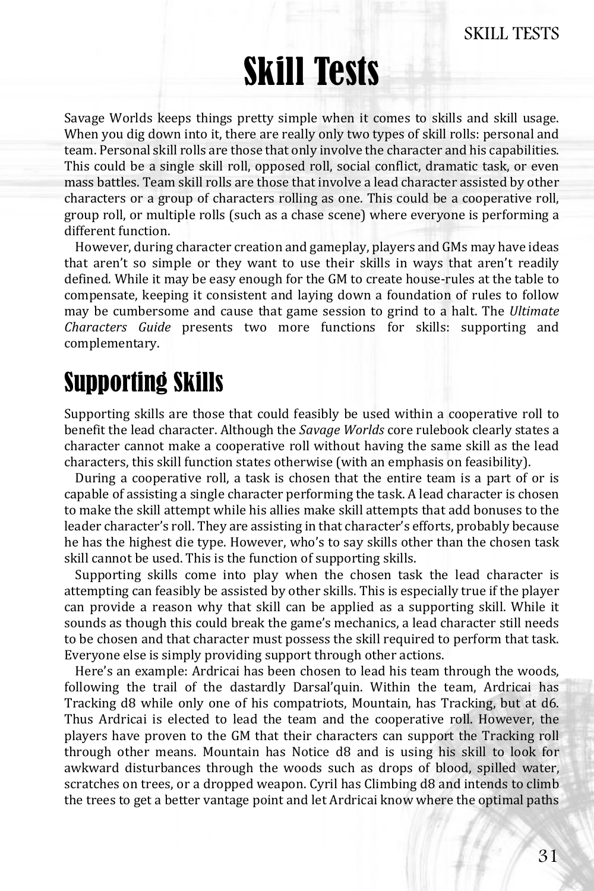# Skill Tests

Savage Worlds keeps things pretty simple when it comes to skills and skill usage. When you dig down into it, there are really only two types of skill rolls: personal and team. Personal skill rolls are those that only involve the character and his capabilities. This could be a single skill roll, opposed roll, social conflict, dramatic task, or even mass battles. Team skill rolls are those that involve a lead character assisted by other characters or a group of characters rolling as one. This could be a cooperative roll, group roll, or multiple rolls (such as a chase scene) where everyone is performing a different function.

 However, during character creation and gameplay, players and GMs may have ideas that aren't so simple or they want to use their skills in ways that aren't readily defined. While it may be easy enough for the GM to create house-rules at the table to compensate, keeping it consistent and laying down a foundation of rules to follow may be cumbersome and cause that game session to grind to a halt. The *Ultimate Characters Guide* presents two more functions for skills: supporting and complementary.

## Supporting Skills

Supporting skills are those that could feasibly be used within a cooperative roll to benefit the lead character. Although the *Savage Worlds* core rulebook clearly states a character cannot make a cooperative roll without having the same skill as the lead characters, this skill function states otherwise (with an emphasis on feasibility).

 During a cooperative roll, a task is chosen that the entire team is a part of or is capable of assisting a single character performing the task. A lead character is chosen to make the skill attempt while his allies make skill attempts that add bonuses to the leader character's roll. They are assisting in that character's efforts, probably because he has the highest die type. However, who's to say skills other than the chosen task skill cannot be used. This is the function of supporting skills.

 Supporting skills come into play when the chosen task the lead character is attempting can feasibly be assisted by other skills. This is especially true if the player can provide a reason why that skill can be applied as a supporting skill. While it sounds as though this could break the game's mechanics, a lead character still needs to be chosen and that character must possess the skill required to perform that task. Everyone else is simply providing support through other actions.

 Here's an example: Ardricai has been chosen to lead his team through the woods, following the trail of the dastardly Darsal'quin. Within the team, Ardricai has Tracking d8 while only one of his compatriots, Mountain, has Tracking, but at d6. Thus Ardricai is elected to lead the team and the cooperative roll. However, the players have proven to the GM that their characters can support the Tracking roll through other means. Mountain has Notice d8 and is using his skill to look for awkward disturbances through the woods such as drops of blood, spilled water, scratches on trees, or a dropped weapon. Cyril has Climbing d8 and intends to climb the trees to get a better vantage point and let Ardricai know where the optimal paths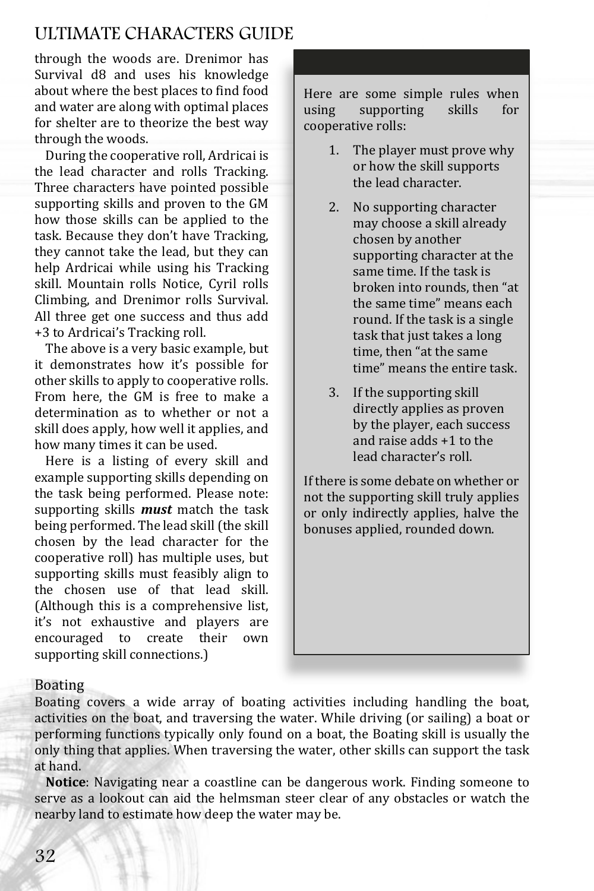### ULTIMATE CHARACTERS GUIDE

through the woods are. Drenimor has Survival d8 and uses his knowledge about where the best places to find food and water are along with optimal places for shelter are to theorize the best way through the woods.

 During the cooperative roll, Ardricai is the lead character and rolls Tracking. Three characters have pointed possible supporting skills and proven to the GM how those skills can be applied to the task. Because they don't have Tracking, they cannot take the lead, but they can help Ardricai while using his Tracking skill. Mountain rolls Notice, Cyril rolls Climbing, and Drenimor rolls Survival. All three get one success and thus add +3 to Ardricai's Tracking roll.

 The above is a very basic example, but it demonstrates how it's possible for other skills to apply to cooperative rolls. From here, the GM is free to make a determination as to whether or not a skill does apply, how well it applies, and how many times it can be used.

 Here is a listing of every skill and example supporting skills depending on the task being performed. Please note: supporting skills *must* match the task being performed. The lead skill (the skill chosen by the lead character for the cooperative roll) has multiple uses, but supporting skills must feasibly align to the chosen use of that lead skill. (Although this is a comprehensive list, it's not exhaustive and players are encouraged to create their own supporting skill connections.)

Here are some simple rules when using supporting skills for cooperative rolls:

- 1. The player must prove why or how the skill supports the lead character.
- 2. No supporting character may choose a skill already chosen by another supporting character at the same time. If the task is broken into rounds, then "at the same time" means each round. If the task is a single task that just takes a long time, then "at the same time" means the entire task.
- 3. If the supporting skill directly applies as proven by the player, each success and raise adds +1 to the lead character's roll.

If there is some debate on whether or not the supporting skill truly applies or only indirectly applies, halve the bonuses applied, rounded down.

#### Boating

Boating covers a wide array of boating activities including handling the boat, activities on the boat, and traversing the water. While driving (or sailing) a boat or performing functions typically only found on a boat, the Boating skill is usually the only thing that applies. When traversing the water, other skills can support the task at hand.

**Notice**: Navigating near a coastline can be dangerous work. Finding someone to serve as a lookout can aid the helmsman steer clear of any obstacles or watch the nearby land to estimate how deep the water may be.